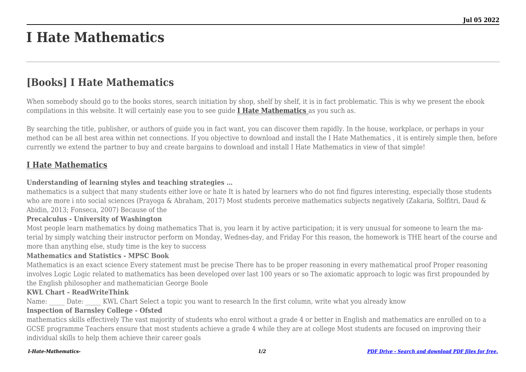# **I Hate Mathematics**

## **[Books] I Hate Mathematics**

When somebody should go to the books stores, search initiation by shop, shelf by shelf, it is in fact problematic. This is why we present the ebook compilations in this website. It will certainly ease you to see guide **[I Hate Mathematics](http://goldwoodgardens.com)** as you such as.

By searching the title, publisher, or authors of guide you in fact want, you can discover them rapidly. In the house, workplace, or perhaps in your method can be all best area within net connections. If you objective to download and install the I Hate Mathematics , it is entirely simple then, before currently we extend the partner to buy and create bargains to download and install I Hate Mathematics in view of that simple!

### **[I Hate Mathematics](http://goldwoodgardens.com/I-Hate-Mathematics-.pdf)**

#### **Understanding of learning styles and teaching strategies …**

mathematics is a subject that many students either love or hate It is hated by learners who do not find figures interesting, especially those students who are more i nto social sciences (Prayoga & Abraham, 2017) Most students perceive mathematics subjects negatively (Zakaria, Solfitri, Daud & Abidin, 2013; Fonseca, 2007) Because of the

#### **Precalculus - University of Washington**

Most people learn mathematics by doing mathematics That is, you learn it by active participation; it is very unusual for someone to learn the material by simply watching their instructor perform on Monday, Wednes-day, and Friday For this reason, the homework is THE heart of the course and more than anything else, study time is the key to success

#### **Mathematics and Statistics - MPSC Book**

Mathematics is an exact science Every statement must be precise There has to be proper reasoning in every mathematical proof Proper reasoning involves Logic Logic related to mathematics has been developed over last 100 years or so The axiomatic approach to logic was first propounded by the English philosopher and mathematician George Boole

#### **KWL Chart - ReadWriteThink**

Name: Date: KWL Chart Select a topic you want to research In the first column, write what you already know

#### **Inspection of Barnsley College - Ofsted**

mathematics skills effectively The vast majority of students who enrol without a grade 4 or better in English and mathematics are enrolled on to a GCSE programme Teachers ensure that most students achieve a grade 4 while they are at college Most students are focused on improving their individual skills to help them achieve their career goals